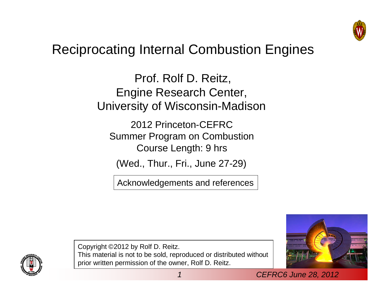

## Reciprocating Internal Combustion Engines

Prof. Rolf D. Reitz, Engine Research Center, University of Wisconsin-Madison

2012 Princeton-CEFRC Summer Program on Combustion Course Length: 9 hrs

(Wed., Thur., Fri., June 27-29)

Acknowledgements and references





Copyright ©2012 by Rolf D. Reitz. This material is not to be sold, reproduced or distributed without prior written permission of the owner, Rolf D. Reitz.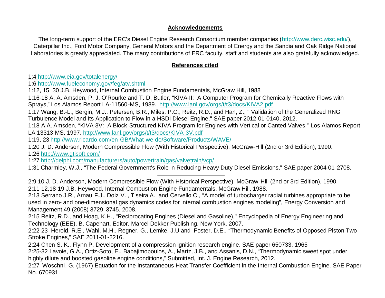## **Acknowledgements**

The long-term support of the ERC's Diesel Engine Research Consortium member companies (http://www.derc.wisc.edu/), Caterpillar Inc., Ford Motor Company, General Motors and the Department of Energy and the Sandia and Oak Ridge National Laboratories is greatly appreciated. The many contributions of ERC faculty, staff and students are also gratefully acknowledged.

## **References cited**

1:4 http://www.eia.gov/totalenergy/

1:6 http://www.fueleconomy.gov/feg/atv.shtml

1:12, 15, 30 J.B. Heywood, Internal Combustion Engine Fundamentals, McGraw Hill, 1988

1:16-18 A. A. Amsden, P. J. O'Rourke and T. D. Butler, "KIVA-II: A Computer Program for Chemically Reactive Flows with Sprays," Los Alamos Report LA-11560-MS, 1989. http://www.lanl.gov/orgs/t/t3/docs/KIVA2.pdf

1:17 Wang, B.-L., Bergin, M.J., Petersen, B.R., Miles, P.C., Reitz, R.D., and Han, Z., " Validation of the Generalized RNG Turbulence Model and Its Application to Flow in a HSDI Diesel Engine," SAE paper 2012-01-0140, 2012.

1:18 A.A. Amsden, "KIVA-3V: A Block-Structured KIVA Program for Engines with Vertical or Canted Valves," Los Alamos Report LA-13313-MS, 1997. http://www.lanl.gov/orgs/t/t3/docs/KIVA-3V.pdf

1:19, 23 http://www.ricardo.com/en-GB/What-we-do/Software/Products/WAVE/

1:20 J. D. Anderson, Modern Compressible Flow (With Historical Perspective), McGraw-Hill (2nd or 3rd Edition), 1990. 1:26 http://www.gtisoft.com/

1:27 http://delphi.com/manufacturers/auto/powertrain/gas/valvetrain/vcp/

1:31 Charmley, W.J., "The Federal Government's Role in Reducing Heavy Duty Diesel Emissions," SAE paper 2004-01-2708.

2:9-10 J. D. Anderson, Modern Compressible Flow (With Historical Perspective), McGraw-Hill (2nd or 3rd Edition), 1990. 2:11-12,18-19 J.B. Heywood, Internal Combustion Engine Fundamentals, McGraw Hill, 1988.

2:13 Serrano J.R., Arnau F.J., Dolz V. , Tiseira A., and Cervello C., "A model of turbocharger radial turbines appropriate to be used in zero- and one-dimensional gas dynamics codes for internal combustion engines modeling", Energy Conversion and Management,49 (2008) 3729–3745, 2008.

2:15 Reitz, R.D., and Hoag, K.H., "Reciprocating Engines (Diesel and Gasoline)," Encyclopedia of Energy Engineering and Technology (EEE), B. Capehart, Editor, Marcel Dekker Publishing, New York, 2007.

2:22-23 Herold, R.E., Wahl, M.H., Regner, G., Lemke, J.U and Foster, D.E., "Thermodynamic Benefits of Opposed-Piston Two-Stroke Engines," SAE 2011-01-2216.

2:24 Chen S. K., Flynn P. Development of a compression ignition research engine. SAE paper 650733, 1965

2:25-32 Lavoie, G.A., Ortiz-Soto, E., Babajimopoulos, A., Martz, J.B., and Assanis, D.N., "Thermodynamic sweet spot under highly dilute and boosted gasoline engine conditions," Submitted, Int. J. Engine Research, 2012.

2:27 Woschni, G. (1967) Equation for the Instantaneous Heat Transfer Coefficient in the Internal Combustion Engine. SAE Paper No. 670931.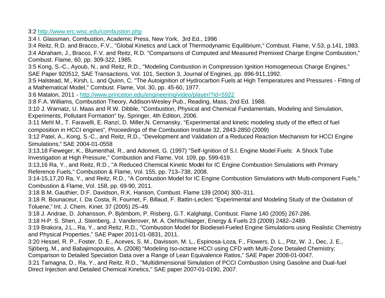3:2 http://www.erc.wisc.edu/combustion.php

3:4 I. Glassman, Combustion, Academic Press, New York, 3rd Ed., 1996

3:4 Reitz, R.D. and Bracco, F.V., "Global Kinetics and Lack of Thermodynamic Equilibrium," Combust. Flame, V.53, p.141, 1983. 3:4 Abraham, J., Bracco, F.V. and Reitz, R.D. "Comparisons of Computed and Measured Premixed Charge Engine Combustion," Combust. Flame, 60, pp. 309-322, 1985.

3:5 Kong, S.-C., Ayoub, N., and Reitz, R.D., "Modeling Combustion in Compression Ignition Homogeneous Charge Engines," SAE Paper 920512, SAE Transactions, Vol. 101, Section 3, Journal of Engines, pp. 896-911,1992.

3:5 Halstead, M., Kirsh, L. and Quinn, C. "The Autoignition of Hydrocarbon Fuels at High Temperatures and Pressures - Fitting of a Mathematical Model," Combust. Flame, Vol. 30, pp. 45-60, 1977.

3:6 Matalon, 2011 - http://www.princeton.edu/engineering/video/player/?id=5922

3:8 F.A. Williams, Combustion Theory, Addison-Wesley Pub., Reading, Mass, 2nd Ed. 1988.

3:10 J. Warnatz, U. Maas and R.W. Dibble, "Combustion, Physical and Chemical Fundamentals, Modeling and Simulation, Experiments, Pollutant Formation" by, Springer, 4th Edition, 2006.

3:11 Mehl M., T. Faravelli, E. Ranzi, D. Miller,N. Cernansky, "Experimental and kinetic modeling study of the effect of fuel composition in HCCI engines", Proceedings of the Combustion Institute 32, 2843-2850 (2009)

3:12 Patel, A., Kong, S.-C., and Reitz, R.D., "Development and Validation of a Reduced Reaction Mechanism for HCCI Engine Simulations," SAE 2004-01-0558

3:13,18 Fieweger, K., Blumenthal, R., and Adomeit, G. (1997) "Self-Ignition of S.I. Engine Model Fuels: A Shock Tube Investigation at High Pressure," Combustion and Flame, Vol. 109, pp. 599-619.

3:13,16 Ra, Y., and Reitz, R.D., "A Reduced Chemical Kinetic Model for IC Engine Combustion Simulations with Primary Reference Fuels," Combustion & Flame, Vol. 155, pp. 713–738, 2008.

3:14-15,17,20 Ra, Y., and Reitz, R.D., "A Combustion Model for IC Engine Combustion Simulations with Multi-component Fuels," Combustion & Flame, Vol. 158, pp. 69-90, 2011.

3:18 B.M. Gauthier, D.F. Davidson, R.K. Hanson, Combust. Flame 139 (2004) 300–311.

3:18 R. Bounaceur, I. Da Costa, R. Fournet, F. Billaud, F. Battin-Leclerc "Experimental and Modeling Study of the Oxidation of Toluene," Int. J. Chem. Kinet. 37 (2005) 25–49.

3:18 J. Andrae, D. Johansson, P. Björnbom, P. Risberg, G.T. Kalghatgi, Combust. Flame 140 (2005) 267-286.

3:18 H-P. S. Shen, J. Steinberg, J. Vanderover, M. A. Oehlschlaeger, Energy & Fuels 23 (2009) 2482–2489.

3:19 Brakora, J.L., Ra, Y., and Reitz, R.D., "Combustion Model for Biodiesel-Fueled Engine Simulations using Realistic Chemistry and Physical Properties," SAE Paper 2011-01-0831, 2011.

3:20 Hessel, R. P., Foster, D. E., Aceves, S. M., Davisson, M. L., Espinosa-Loza, F., Flowers, D. L., Pitz, W. J., Dec, J. E.,

Sjöberg, M., and Babajimopoulos, A. (2008) "Modeling Iso-octane HCCI using CFD with Multi-Zone Detailed Chemistry;

Comparison to Detailed Speciation Data over a Range of Lean Equivalence Ratios," SAE Paper 2008-01-0047.

3:21 Tamagna, D., Ra, Y., and Reitz, R.D., "Multidimensional Simulation of PCCI Combustion Using Gasoline and Dual-fuel Direct Injection and Detailed Chemical Kinetics," SAE paper 2007-01-0190, 2007.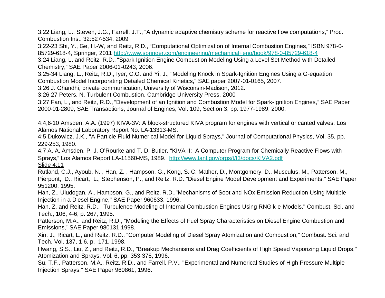3:22 Liang, L., Steven, J.G., Farrell, J.T., "A dynamic adaptive chemistry scheme for reactive flow computations," Proc. Combustion Inst. 32:527-534, 2009

3:22-23 Shi, Y., Ge, H.-W, and Reitz, R.D., "Computational Optimization of Internal Combustion Engines," ISBN 978-0- 85729-618-4, Springer, 2011 http://www.springer.com/engineering/mechanical+eng/book/978-0-85729-618-4

3:24 Liang, L. and Reitz, R.D., "Spark Ignition Engine Combustion Modeling Using a Level Set Method with Detailed Chemistry," SAE Paper 2006-01-0243, 2006.

3:25-34 Liang, L., Reitz, R.D., Iyer, C.O. and Yi, J., "Modeling Knock in Spark-Ignition Engines Using a G-equation Combustion Model Incorporating Detailed Chemical Kinetics," SAE paper 2007-01-0165, 2007.

3:26 J. Ghandhi, private communication, University of Wisconsin-Madison, 2012.

3:26-27 Peters, N. Turbulent Combustion, Cambridge University Press, 2000

3:27 Fan, Li, and Reitz, R.D., "Development of an Ignition and Combustion Model for Spark-Ignition Engines," SAE Paper 2000-01-2809, SAE Transactions, Journal of Engines, Vol. 109, Section 3, pp. 1977-1989, 2000.

4:4,6-10 Amsden, A.A. (1997) KIVA-3V: A block-structured KIVA program for engines with vertical or canted valves. Los Alamos National Laboratory Report No. LA-13313-MS.

4:5 Dukowicz, J.K., "A Particle-Fluid Numerical Model for Liquid Sprays," Journal of Computational Physics, Vol. 35, pp. 229-253, 1980.

4:7 A. A. Amsden, P. J. O'Rourke and T. D. Butler, "KIVA-II: A Computer Program for Chemically Reactive Flows with Sprays," Los Alamos Report LA-11560-MS, 1989. http://www.lanl.gov/orgs/t/t3/docs/KIVA2.pdf Slide 4:11

Rutland, C.J., Ayoub, N. , Han, Z. , Hampson, G., Kong, S.-C. Mather, D., Montgomery, D., Musculus, M., Patterson, M., Pierpont, D., Ricart, L., Stephenson, P., and Reitz, R.D.,"Diesel Engine Model Development and Experiments," SAE Paper 951200, 1995.

Han, Z., Uludogan, A., Hampson, G., and Reitz, R.D.,"Mechanisms of Soot and NOx Emission Reduction Using Multiple-Injection in a Diesel Engine," SAE Paper 960633, 1996.

Han, Z. and Reitz, R.D., "Turbulence Modeling of Internal Combustion Engines Using RNG k-e Models," Combust. Sci. and Tech., 106, 4-6, p. 267, 1995.

Patterson, M.A., and Reitz, R.D., "Modeling the Effects of Fuel Spray Characteristics on Diesel Engine Combustion and Emissions," SAE Paper 980131,1998.

Xin, J., Ricart, L., and Reitz, R.D., "Computer Modeling of Diesel Spray Atomization and Combustion," Combust. Sci. and Tech. Vol. 137, 1-6, p. 171, 1998.

Hwang, S.S., Liu, Z., and Reitz, R.D., "Breakup Mechanisms and Drag Coefficients of High Speed Vaporizing Liquid Drops," Atomization and Sprays, Vol. 6, pp. 353-376, 1996.

Su, T.F., Patterson, M.A., Reitz, R.D., and Farrell, P.V., "Experimental and Numerical Studies of High Pressure Multiple-Injection Sprays," SAE Paper 960861, 1996.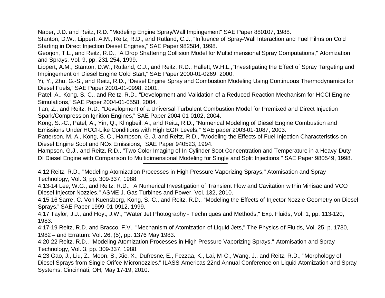Naber, J.D. and Reitz, R.D. "Modeling Engine Spray/Wall Impingement" SAE Paper 880107, 1988.

Stanton, D.W., Lippert, A.M., Reitz, R.D., and Rutland, C.J., "Influence of Spray-Wall Interaction and Fuel Films on Cold Starting in Direct Injection Diesel Engines," SAE Paper 982584, 1998.

Georjon, T.L., and Reitz, R.D., "A Drop Shattering Collision Model for Multidimensional Spray Computations," Atomization and Sprays, Vol. 9, pp. 231-254, 1999.

Lippert, A.M., Stanton, D.W., Rutland, C.J., and Reitz, R.D., Hallett, W.H.L.,"Investigating the Effect of Spray Targeting and Impingement on Diesel Engine Cold Start," SAE Paper 2000-01-0269, 2000.

Yi, Y., Zhu, G.-S., and Reitz, R.D., "Diesel Engine Spray and Combustion Modeling Using Continuous Thermodynamics for Diesel Fuels," SAE Paper 2001-01-0998, 2001.

Patel, A., Kong, S.-C., and Reitz, R.D., "Development and Validation of a Reduced Reaction Mechanism for HCCI Engine Simulations," SAE Paper 2004-01-0558, 2004.

Tan, Z., and Reitz, R.D., "Development of a Universal Turbulent Combustion Model for Premixed and Direct Injection Spark/Compression Ignition Engines," SAE Paper 2004-01-0102, 2004.

Kong, S.,-C., Patel, A., Yin, Q., Klingbeil, A., and Reitz, R.D., "Numerical Modeling of Diesel Engine Combustion and Emissions Under HCCI-Like Conditions with High EGR Levels," SAE paper 2003-01-1087, 2003.

Patterson, M. A., Kong, S.-C., Hampson, G. J. and Reitz, R.D., "Modeling the Effects of Fuel Injection Characteristics on Diesel Engine Soot and NOx Emissions," SAE Paper 940523, 1994.

Hampson, G.J., and Reitz, R.D., "Two-Color Imaging of In-Cylinder Soot Concentration and Temperature in a Heavy-Duty DI Diesel Engine with Comparison to Multidimensional Modeling for Single and Split Injections," SAE Paper 980549, 1998.

4:12 Reitz, R.D., "Modeling Atomization Processes in High-Pressure Vaporizing Sprays," Atomisation and Spray Technology, Vol. 3, pp. 309-337, 1988.

4:13-14 Lee, W.G., and Reitz, R.D., "A Numerical Investigation of Transient Flow and Cavitation within Minisac and VCO Diesel Injector Nozzles," ASME J. Gas Turbines and Power, Vol. 132, 2010.

4:15-16 Sarre, C. Von Kuensberg, Kong, S.-C., and Reitz, R.D., "Modeling the Effects of Injector Nozzle Geometry on Diesel Sprays," SAE Paper 1999-01-0912, 1999.

4:17 Taylor, J.J., and Hoyt, J.W., "Water Jet Photography - Techniques and Methods," Exp. Fluids, Vol. 1, pp. 113-120, 1983.

4:17-19 Reitz, R.D. and Bracco, F.V., "Mechanism of Atomization of Liquid Jets," The Physics of Fluids, Vol. 25, p. 1730, 1982 – and Erratum: Vol. 26, (5), pp. 1376 May 1983.

4:20-22 Reitz, R.D., "Modeling Atomization Processes in High-Pressure Vaporizing Sprays," Atomisation and Spray Technology, Vol. 3, pp. 309-337, 1988.

4:23 Gao, J., Liu, Z., Moon, S., Xie, X., Dufresne, E., Fezzaa, K., Lai, M-C., Wang, J., and Reitz, R.D., "Morphology of Diesel Sprays from Single-Orifce Micronozzles," ILASS-Americas 22nd Annual Conference on Liquid Atomization and Spray Systems, Cincinnati, OH, May 17-19, 2010.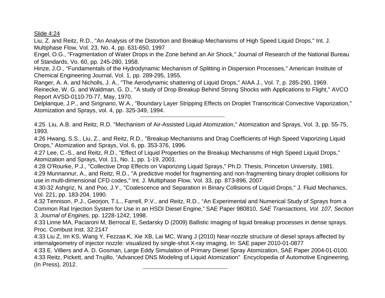Slide 4:24

Liu, Z. and Reitz, R.D., "An Analysis of the Distortion and Breakup Mechanisms of High Speed Liquid Drops," Int. J. Multiphase Flow, Vol. 23, No. 4, pp. 631-650, 1997

Engel, O.G., "Fragmentation of Water Drops in the Zone behind an Air Shock," Journal of Research of the National Bureau of Standards, Vo. 60, pp. 245-280, 1958.

Hinze, J.O., "Fundamentals of the Hydrodynamic Mechanism of Splitting in Dispersion Processes," American Institute of Chemical Engineering Journal, Vol. 1, pp. 289-295, 1955.

Ranger, A. A. and Nicholls, J. A., "The Aerodynamic shattering of Liquid Drops," AIAA J., Vol. 7, p. 285-290, 1969.

Reinecke, W. G. and Waldman, G. D., "A study of Drop Breakup Behind Strong Shocks with Applications to Flight," AVCO Report AVSD-0110-70-77, May, 1970.

Delplanque, J.P., and Sirignano, W.A., "Boundary Layer Stripping Effects on Droplet Transcritical Convective Vaporization,'' Atomization and Sprays, vol. 4, pp. 325-349, 1994.

4:25 Liu, A.B. and Reitz, R.D. "Mechanism of Air-Assisted Liquid Atomization," Atomization and Sprays, Vol. 3, pp. 55-75, 1993.

4:26 Hwang, S.S., Liu, Z., and Reitz, R.D., "Breakup Mechanisms and Drag Coefficients of High Speed Vaporizing Liquid Drops," Atomization and Sprays, Vol. 6, pp. 353-376, 1996.

4:27 Lee, C.-S., and Reitz, R.D., "Effect of Liquid Properties on the Breakup Mechanisms of High Speed Liquid Drops," Atomization and Sprays, Vol. 11, No. 1, pp. 1-19, 2001.

4:28 O'Rourke, P.J., "Collective Drop Effects on Vaporizing Liquid Sprays," Ph.D. Thesis, Princeton University, 1981. 4:29 Munnannur, A., and Reitz, R.D., "A predictive model for fragmenting and non-fragmenting binary droplet collisions for use in multi-dimensional CFD codes," Int. J. Multiphase Flow, Vol. 33, pp. 873-896, 2007.

4:30-32 Ashgriz, N. and Poo, J.Y., "Coalescence and Separation in Binary Collisions of Liquid Drops," J. Fluid Mechanics, Vol. 221, pp. 183-204, 1990.

4:32 Tennison, P.J., Georjon, T.L., Farrell, P.V., and Reitz, R.D., "An Experimental and Numerical Study of Sprays from a Common Rail Injection System for Use in an HSDI Diesel Engine," SAE Paper 980810, *SAE Transactions, Vol. 107, Section 3, Journal of Engines,* pp. 1228-1242, 1998.

4:33 Linne MA, Paciaroni M, Berrocal E, Sedarsky D (2009) Ballistic imaging of liquid breakup processes in dense sprays. Proc. Combust Inst. 32:2147

4:33 Liu Z, Im KS, Wang Y, Fezzaa K, Xie XB, Lai MC, Wang J (2010) Near-nozzle structure of diesel sprays affected by internalgeometry of injector nozzle: visualized by single-shot X-ray imaging. In: SAE paper 2010-01-0877

4:33 E. Villiers and A. D. Gosman, Large Eddy Simulation of Primary Diesel Spray Atomization, SAE Paper 2004-01-0100. 4:33 Reitz, Pickett, and Trujillo, "Advanced DNS Modeling of Liquid Atomization" Encyclopedia of Automotive Engineering, (In Press), 2012.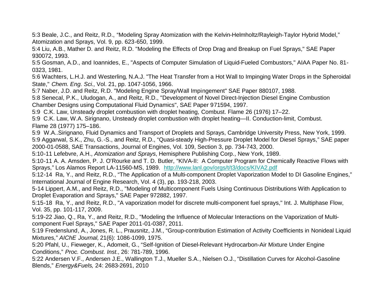5:3 Beale, J.C., and Reitz, R.D., "Modeling Spray Atomization with the Kelvin-Helmholtz/Rayleigh-Taylor Hybrid Model," Atomization and Sprays, Vol. 9, pp. 623-650, 1999.

5:4 Liu, A.B., Mather D. and Reitz, R.D. "Modeling the Effects of Drop Drag and Breakup on Fuel Sprays," SAE Paper 930072, 1993.

5:5 Gosman, A.D., and Ioannides, E., "Aspects of Computer Simulation of Liquid-Fueled Combustors," AIAA Paper No. 81- 0323, 1981.

5:6 Wachters, L.H.J. and Westerling, N.A.J. "The Heat Transfer from a Hot Wall to Impinging Water Drops in the Spheroidal State," *Chem. Eng. Sci.*, Vol. 21, pp. 1047-1056, 1966.

5:7 Naber, J.D. and Reitz, R.D. "Modeling Engine Spray/Wall Impingement" SAE Paper 880107, 1988.

5:8 Senecal, P.K., Uludogan, A., and Reitz, R.D., "Development of Novel Direct-Injection Diesel Engine Combustion Chamber Designs using Computational Fluid Dynamics", SAE Paper 971594, 1997.

5:9 C.K. Law, Unsteady droplet combustion with droplet heating, Combust. Flame 26 (1976) 17–22.

5:9 C.K. Law, W.A. Sirignano, Unsteady droplet combustion with droplet heating—II. Conduction-limit, Combust. Flame 28 (1977) 175–186.

5:9 W.A..Sirignano, Fluid Dynamics and Transport of Droplets and Sprays, Cambridge University Press, New York, 1999. 5:9 Aggarwal, S.K., Zhu, G.-S., and Reitz, R.D., "Quasi-steady High-Pressure Droplet Model for Diesel Sprays," SAE paper 2000-01-0588, SAE Transactions, Journal of Engines, Vol. 109, Section 3, pp. 734-743, 2000.

5:10-11 Lefebvre, A.H., *Atomization and Sprays*, Hemisphere Publishing Corp., New York, 1989.

5:10-11 A. A. Amsden, P. J. O'Rourke and T. D. Butler, "KIVA-II: A Computer Program for Chemically Reactive Flows with Sprays," Los Alamos Report LA-11560-MS, 1989. http://www.lanl.gov/orgs/t/t3/docs/KIVA2.pdf

5:12-14 Ra, Y., and Reitz, R.D., "The Application of a Multi-component Droplet Vaporization Model to DI Gasoline Engines," International Journal of Engine Research, Vol. 4 (3), pp. 193-218, 2003.

5-14 Lippert, A.M., and Reitz, R.D., "Modeling of Multicomponent Fuels Using Continuous Distributions With Application to Droplet Evaporation and Sprays," SAE Paper 972882, 1997.

5:15-18 Ra, Y., and Reitz, R.D., "A vaporization model for discrete multi-component fuel sprays," Int. J. Multiphase Flow, Vol. 35, pp. 101-117, 2009.

5:19-22 Jiao, Q., Ra, Y., and Reitz, R.D., "Modeling the Influence of Molecular Interactions on the Vaporization of Multicomponent Fuel Sprays," SAE Paper 2011-01-0387, 2011.

5:19 Fredenslund, A., Jones, R. L., Prausnitz, J.M., "Group-contribution Estimation of Activity Coefficients in Nonideal Liquid Mixtures," *AIChE Journal,* 21(6): 1086-1099, 1975.

5:20 Pfahl, U., Fieweger, K., Adomeit, G., "Self-Ignition of Diesel-Relevant Hydrocarbon-Air Mixture Under Engine Conditions," *Proc. Combust. Inst*., 26: 781-789, 1996.

5:22 Andersen V.F., Andersen J.E., Wallington T.J., Mueller S.A., Nielsen O.J., "Distillation Curves for Alcohol-Gasoline Blends," *Energy&Fuels,* 24: 2683-2691, 2010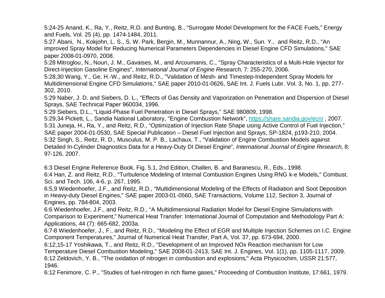5:24-25 Anand, K., Ra, Y., Reitz, R.D. and Bunting, B., "Surrogate Model Development for the FACE Fuels," Energy and Fuels, Vol. 25 (4), pp. 1474-1484, 2011.

5:27 Abani, N., Kokjohn, L. S., S. W. Park, Bergin, M., Munnannur, A., Ning, W., Sun. Y., and Reitz, R.D., "An improved Spray Model for Reducing Numerical Parameters Dependencies in Diesel Engine CFD Simulations," SAE paper 2008-01-0970, 2008.

5:28 Mitroglou, N., Nouri, J. M., Gavaises, M., and Arcoumanis, C., "Spray Characteristics of a Multi-Hole Injector for Direct-Injection Gasoline Engines", *International Journal of Engine Research*, 7: 255-270, 2006.

5:28,30 Wang, Y., Ge, H.-W., and Reitz, R.D., "Validation of Mesh- and Timestep-Independent Spray Models for Multidimensional Engine CFD Simulations," SAE paper 2010-01-0626, SAE Int. J. Fuels Lubr. Vol. 3, No. 1, pp. 277- 302, 2010.

5:29 Naber, J. D. and Siebers, D. L., "Effects of Gas Density and Vaporization on Penetration and Dispersion of Diesel Sprays, SAE Technical Paper 960034, 1996.

5:29 Siebers, D.L., "Liquid-Phase Fuel Penetration in Diesel Sprays," SAE 980809, 1998.

5:29,34 Pickett, L., Sandia National Laboratory, "Engine Combustion Network", https://share.sandia.gov/ecn/ , 2007. 5:31 Juneja, H., Ra, Y., and Reitz, R.D., "Optimization of Injection Rate Shape using Active Control of Fuel Injection," SAE paper 2004-01-0530, SAE Special Publication – Diesel Fuel Injection and Sprays, SP-1824, p193-210, 2004. 5:32 Singh, S., Reitz, R. D., Musculus, M. P. B., Lachaux, T., "Validation of Engine Combustion Models against Detailed In-Cylinder Diagnostics Data for a Heavy-Duty DI Diesel Engine", *International Journal of Engine Research*, 8: 97-126, 2007.

6:3 Diesel Engine Reference Book, Fig. 5.1, 2nd Edition, Challen, B. and Baranescu, R., Eds., 1998. 6:4 Han, Z. and Reitz, R.D., "Turbulence Modeling of Internal Combustion Engines Using RNG k-e Models," Combust. Sci. and Tech. 106, 4-6, p. 267, 1995.

6:5,9 Wiedenhoefer, J.F., and Reitz, R.D., "Multidimensional Modeling of the Effects of Radiation and Soot Deposition in Heavy-duty Diesel Engines," SAE paper 2003-01-0560, SAE Transactions, Volume 112, Section 3, Journal of Engines, pp. 784-804, 2003.

6:6 Wiedenhoefer, J.F., and Reitz, R.D., "A Multidimensional Radiation Model for Diesel Engine Simulations with Comparison to Experiment," Numerical Heat Transfer: International Journal of Computation and Methodology Part A: Applications, 44 (7): 665-682, 2003a.

6:7-8 Wiedenhoefer, J., F., and Reitz, R.D., "Modeling the Effect of EGR and Multiple Injection Schemes on I.C. Engine Component Temperatures," Journal of Numerical Heat Transfer, Part A, Vol. 37, pp. 673-694, 2000.

6:12,15-17 Yoshikawa, T., and Reitz, R.D., "Development of an Improved NOx Reaction mechanism for Low Temperature Diesel Combustion Modeling," SAE 2008-01-2413, SAE Int. J. Engines, Vol. 1(1), pp. 1105-1117, 2009. 6:12 Zeldovich, Y. B., "The oxidation of nitrogen in combustion and explosions," Acta Physicochim, USSR 21:577, 1946.

6:12 Fenimore, C. P., "Studies of fuel-nitrogen in rich flame gases," Proceeding of Combustion Institute, 17:661, 1979.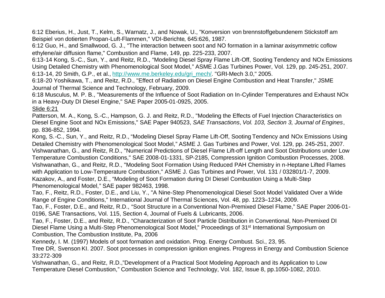6:12 Eberius, H., Just, T., Kelm, S., Warnatz, J., and Nowak, U., "Konversion von brennstoffgebundenem Stickstoff am Beispiel von dotierten Propan-Luft-Flammen," VDI-Berichte, 645:626, 1987.

6:12 Guo, H., and Smallwood, G. J., "The interaction between soot and NO formation in a laminar axisymmetric coflow ethylene/air diffusion flame," Combustion and Flame, 149, pp. 225-233, 2007.

6:13-14 Kong, S.-C., Sun, Y., and Reitz, R.D., "Modeling Diesel Spray Flame Lift-Off, Sooting Tendency and NOx Emissions Using Detailed Chemistry with Phenomenological Soot Model," ASME J.Gas Turbines Power, Vol. 129, pp. 245-251, 2007. 6:13-14, 20 Smith, G.P., et al., http://www.me.berkeley.edu/gri\_mech/. "GRI-Mech 3.0," 2005.

6:18-20 Yoshikawa, T., and Reitz, R.D., "Effect of Radiation on Diesel Engine Combustion and Heat Transfer," JSME Journal of Thermal Science and Technology, February, 2009.

6:18 Musculus, M. P. B., "Measurements of the Influence of Soot Radiation on In-Cylinder Temperatures and Exhaust NOx in a Heavy-Duty DI Diesel Engine," SAE Paper 2005-01-0925, 2005.

Slide 6:21

Patterson, M. A., Kong, S.-C., Hampson, G. J. and Reitz, R.D., "Modeling the Effects of Fuel Injection Characteristics on Diesel Engine Soot and NOx Emissions," SAE Paper 940523, *SAE Transactions*, *Vol. 103, Section 3, Journal of Engines*, pp. 836-852, 1994.

Kong, S.-C., Sun, Y., and Reitz, R.D., "Modeling Diesel Spray Flame Lift-Off, Sooting Tendency and NOx Emissions Using Detailed Chemistry with Phenomenological Soot Model," ASME J. Gas Turbines and Power, Vol. 129, pp. 245-251, 2007. Vishwanathan, G., and Reitz, R.D., "Numerical Predictions of Diesel Flame Lift-off Length and Soot Distributions under Low Temperature Combustion Conditions," SAE 2008-01-1331, SP-2185, Compression Ignition Combustion Processes, 2008. Vishwanathan, G., and Reitz, R.D., "Modeling Soot Formation Using Reduced PAH Chemistry in n-Heptane Lifted Flames with Application to Low-Temperature Combustion," ASME J. Gas Turbines and Power, Vol. 131 / 032801/1-7, 2009. Kazakov, A., and Foster, D.E., "Modeling of Soot Formation during DI Diesel Combustion Using a Multi-Step Phenomenological Model," SAE paper 982463, 1998.

Tao, F., Reitz, R.D., Foster, D.E., and Liu, Y., "A Nine-Step Phenomenological Diesel Soot Model Validated Over a Wide Range of Engine Conditions," International Journal of Thermal Sciences, Vol. 48, pp. 1223–1234, 2009.

Tao, F., Foster, D.E., and Reitz, R.D., "Soot Structure in a Conventional Non-Premixed Diesel Flame," SAE Paper 2006-01- 0196, SAE Transactions, Vol. 115, Section 4, Journal of Fuels & Lubricants, 2006.

Tao, F., Foster, D.E., and Reitz, R.D., "Characterization of Soot Particle Distribution in Conventional, Non-Premixed DI Diesel Flame Using a Multi-Step Phenomenological Soot Model," Proceedings of 31<sup>st</sup> International Symposium on Combustion, The Combustion Institute, Pa, 2006

Kennedy, I. M. (1997) Models of soot formation and oxidation. Prog. Energy Combust. Sci., 23, 95.

Tree DR, Svenson KI. 2007. Soot processes in compression ignition engines. Progress in Energy and Combustion Science 33:272-309

Vishwanathan, G., and Reitz, R.D.,"Development of a Practical Soot Modeling Approach and its Application to Low Temperature Diesel Combustion," Combustion Science and Technology, Vol. 182, Issue 8, pp.1050-1082, 2010.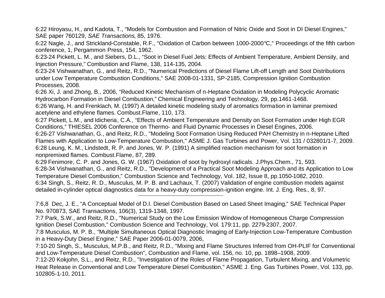6:22 Hiroyasu, H., and Kadota, T., "Models for Combustion and Formation of Nitric Oxide and Soot in DI Diesel Engines," SAE paper 760129, *SAE Transactions*, 85, 1976.

6:22 Nagle, J., and Strickland-Constable, R.F., "Oxidation of Carbon between 1000-2000°C," Proceedings of the fifth carbon conference, 1, Pergammon Press, 154, 1962.

6:23-24 Pickett, L. M., and Siebers, D.L., "Soot in Diesel Fuel Jets: Effects of Ambient Temperature, Ambient Density, and Injection Pressure," Combustion and Flame, 138, 114-135, 2004.

6:23-24 Vishwanathan, G., and Reitz, R.D., "Numerical Predictions of Diesel Flame Lift-off Length and Soot Distributions under Low Temperature Combustion Conditions," SAE 2008-01-1331, SP-2185, Compression Ignition Combustion Processes, 2008.

6:26 Xi, J. and Zhong, B., 2006, "Reduced Kinetic Mechanism of n-Heptane Oxidation in Modeling Polycyclic Aromatic Hydrocarbon Formation in Diesel Combustion," Chemical Engineering and Technology, 29, pp.1461-1468.

6:26 Wang, H. and Frenklach, M. (1997) A detailed kinetic modeling study of aromatics formation in laminar premixed acetylene and ethylene flames. Combust.Flame, 110, 173.

6:27 Pickett, L.M., and Idicheria, C.A., "Effects of Ambient Temperature and Density on Soot Formation under High EGR Conditions," THIESEL 2006 Conference on Thermo- and Fluid Dynamic Processes in Diesel Engines, 2006.

6:26-27 Vishwanathan, G., and Reitz, R.D., "Modeling Soot Formation Using Reduced PAH Chemistry in n-Heptane Lifted Flames with Application to Low-Temperature Combustion," ASME J. Gas Turbines and Power, Vol. 131 / 032801/1-7, 2009. 6:28 Leung, K. M., Lindstedt, R. P. and Jones, W. P. (1991) A simplified reaction mechanism for soot formation in nonpremixed flames. Combust.Flame, 87, 289.

6:29 Fenimore, C. P. and Jones, G. W. (1967) Oxidation of soot by hydroxyl radicals. J.Phys.Chem., 71, 593. 6:28-34 Vishwanathan, G., and Reitz, R.D., "Development of a Practical Soot Modeling Approach and its Application to Low Temperature Diesel Combustion," Combustion Science and Technology, Vol. 182, Issue 8, pp.1050-1082, 2010. 6:34 Singh, S., Reitz, R. D., Musculus, M. P. B. and Lachaux, T. (2007) Validation of engine combustion models against detailed in-cylinder optical diagnostics data for a heavy-duty compression-ignition engine. Int. J. Eng. Res., 8, 97.

7:6,8 Dec, J. E., "A Conceptual Model of D.I. Diesel Combustion Based on Lased Sheet Imaging," SAE Technical Paper No. 970873, SAE Transactions, 106(3), 1319-1348, 1997.

7:7 Park, S.W., and Reitz, R.D., "Numerical Study on the Low Emission Window of Homogeneous Charge Compression Ignition Diesel Combustion," Combustion Science and Technology, Vol. 179:11, pp. 2279-2307, 2007.

7:8 Musculus, M. P. B., "Multiple Simultaneous Optical Diagnostic Imaging of Early-Injection Low-Temperature Combustion in a Heavy-Duty Diesel Engine," SAE Paper 2006-01-0079, 2006,

7:10-20 Singh, S., Musculus, M.P.B., and Reitz, R.D., "Mixing and Flame Structures Inferred from OH-PLIF for Conventional and Low-Temperature Diesel Combustion", Combustion and Flame, vol. 156, no. 10, pp. 1898–1908, 2009.

7:12-20 Kokjohn, S.L., and Reitz, R.D., "Investigation of the Roles of Flame Propagation, Turbulent Mixing, and Volumetric Heat Release in Conventional and Low Temperature Diesel Combustion," ASME J. Eng. Gas Turbines Power, Vol. 133, pp. 102805-1-10, 2011.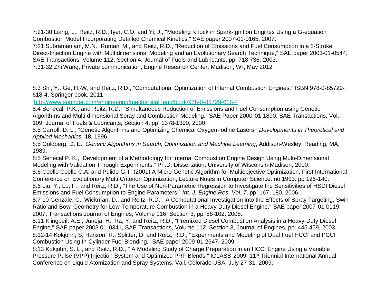7:21-30 Liang, L., Reitz, R.D., Iyer, C.O. and Yi, J., "Modeling Knock in Spark-Ignition Engines Using a G-equation Combustion Model Incorporating Detailed Chemical Kinetics," SAE paper 2007-01-0165, 2007. 7:21 Subramaniam, M.N., Ruman, M., and Reitz, R.D., "Reduction of Emissions and Fuel Consumption in a 2-Stroke Direct-Injection Engine with Multidimensional Modeling and an Evolutionary Search Technique," SAE paper 2003-01-0544, SAE Transactions, Volume 112, Section 4, Journal of Fuels and Lubricants, pp. 718-736, 2003. 7:31-32 Zhi Wang, Private communication, Engine Research Center, Madison, WI, May 2012

8:3 Shi, Y., Ge, H.-W, and Reitz, R.D., "Computational Optimization of Internal Combustion Engines," ISBN 978-0-85729- 618-4, Springer book, 2011

http://www.springer.com/engineering/mechanical+eng/book/978-0-85729-618-4

8:5 Senecal P. K., "Development of a Methodology for Internal Combustion Engine Design Using Multi-Dimensional Modeling with Validation Through Experiments," Ph.D. Dissertation, University of Wisconsin-Madison, 2000. 8:6 Coello Coello C.A. and Pulido G.T. (2001) A Micro-Genetic Algorithm for Multiobjective Optimization. First International

Conference on Evolutionary Multi Criterion Optimization, Lecture Notes in Computer Science: no 1993: pp 126-140. 8:6 Liu, Y., Lu, F., and Reitz, R.D., "The Use of Non-Parametric Regression to Investigate the Sensitivities of HSDI Diesel Emissions and Fuel Consumption to Engine Parameters," *Int. J. Engine Res. Vol. 7*, pp. 167–180, 2006.

8:7-10 Genzale, C., Wickman, D., and Reitz, R.D., "A Computational Investigation into the Effects of Spray Targeting, Swirl Ratio and Bowl Geometry for Low-Temperature Combustion in a Heavy-Duty Diesel Engine," SAE paper 2007-01-0119, 2007, Transactions Journal of Engines, Volume 116, Section 3, pp. 88-102, 2008.

8:11 Klingbeil, A.E., Juneja, H., Ra, Y. and Reitz, R.D., "Premixed Diesel Combustion Analysis in a Heavy-Duty Diesel Engine," SAE paper 2003-01-0341, SAE Transactions, Volume 112, Section 3, Journal of Engines, pp. 445-459, 2003. 8:12-14 Kokjohn, S, Hanson, R., Splitter, D, and Reitz, R.D., "Experiments and Modeling of Dual Fuel HCCI and PCCI Combustion Using In-Cylinder Fuel Blending," SAE paper 2009-01-2647, 2009.

8:13 Kokjohn, S. L., and Reitz, R.D., " A Modeling Study of Charge Preparation in an HCCI Engine Using a Variable Pressure Pulse (VPP) Injection System and Optimized PRF Blends," ICLASS-2009, 11th Triennial International Annual Conference on Liquid Atomization and Spray Systems, Vail, Colorado USA, July 27-31, 2009.

<sup>8:4</sup> Senecal, P.K., and Reitz, R.D., "Simultaneous Reduction of Emissions and Fuel Consumption using Genetic Algorithms and Multi-dimensional Spray and Combustion Modeling," SAE Paper 2000-01-1890, SAE Transactions, Vol. 109, Journal of Fuels & Lubricants, Section 4, pp. 1378-1390, 2000.

<sup>8:5</sup> Carroll, D. L., "Genetic Algorithms and Optimizing Chemical Oxygen-Iodine Lasers," *Developments in Theoretical and Applied Mechanics*, **18**, 1996.

<sup>8:5</sup> Goldberg, D. E., *Genetic Algorithms in Search, Optimization and Machine Learning*, Addison-Wesley, Reading, MA, 1989.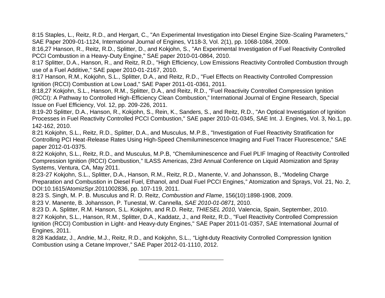8:15 Staples, L., Reitz, R.D., and Hergart, C., "An Experimental Investigation into Diesel Engine Size-Scaling Parameters," SAE Paper 2009-01-1124, International Journal of Engines, V118-3, Vol. 2(1), pp. 1068-1084, 2009.

8:16,27 Hanson, R., Reitz, R.D., Splitter, D., and Kokjohn, S., "An Experimental Investigation of Fuel Reactivity Controlled PCCI Combustion in a Heavy-Duty Engine," SAE paper 2010-01-0864, 2010.

8:17 Splitter, D.A., Hanson, R., and Reitz, R.D., "High Efficiency, Low Emissions Reactivity Controlled Combustion through use of a Fuel Additive," SAE paper 2010-01-2167, 2010.

8:17 Hanson, R.M., Kokjohn, S.L., Splitter, D.A., and Reitz, R.D., "Fuel Effects on Reactivity Controlled Compression Ignition (RCCI) Combustion at Low Load," SAE Paper 2011-01-0361, 2011.

8:18,27 Kokjohn, S.L., Hanson, R.M., Splitter, D.A., and Reitz, R.D., "Fuel Reactivity Controlled Compression Ignition (RCCI): A Pathway to Controlled High-Efficiency Clean Combustion," International Journal of Engine Research, Special Issue on Fuel Efficiency, Vol. 12, pp. 209-226, 2011.

8:19-20 Splitter, D.A., Hanson, R., Kokjohn, S., Rein, K., Sanders, S., and Reitz, R.D., "An Optical Investigation of Ignition Processes in Fuel Reactivity Controlled PCCI Combustion," SAE paper 2010-01-0345, SAE Int. J. Engines, Vol. 3, No.1, pp. 142-162, 2010.

8:21 Kokjohn, S.L., Reitz, R.D., Splitter, D.A., and Musculus, M.P.B., "Investigation of Fuel Reactivity Stratification for Controlling PCI Heat-Release Rates Using High-Speed Chemiluminescence Imaging and Fuel Tracer Fluorescence," SAE paper 2012-01-0375.

8:22 Kokjohn, S.L., Reitz, R.D., and Musculus, M.P.B, "Chemiluminescence and Fuel PLIF Imaging of Reactivity Controlled Compression Ignition (RCCI) Combustion," ILASS Americas, 23rd Annual Conference on Liquid Atomization and Spray Systems, Ventura, CA, May 2011.

8:23-27 Kokjohn, S.L., Splitter, D.A., Hanson, R.M., Reitz, R.D., Manente, V. and Johansson, B., "Modeling Charge Preparation and Combustion in Diesel Fuel, Ethanol, and Dual Fuel PCCI Engines," Atomization and Sprays, Vol. 21, No. 2, DOI:10.1615/AtomizSpr.2011002836, pp. 107-119, 2011.

8:23 S. Singh, M. P. B. Musculus and R. D. Reitz, *Combustion and Flame*, 156(10):1898-1908, 2009.

8:23 V. Manente, B. Johansson, P. Tunestal, W. Cannella, *SAE 2010-01-0871*, 2010.

8:23 D. A. Splitter, R.M. Hanson, S.L. Kokjohn, and R.D. Reitz, *THIESEL 2010,* Valencia, Spain, September, 2010. 8:27 Kokjohn, S.L., Hanson, R.M., Splitter, D.A., Kaddatz, J., and Reitz, R.D., "Fuel Reactivity Controlled Compression Ignition (RCCI) Combustion in Light- and Heavy-duty Engines," SAE Paper 2011-01-0357, SAE International Journal of Engines, 2011.

8:28 Kaddatz, J., Andrie, M.J., Reitz, R.D., and Kokjohn, S.L., "Light-duty Reactivity Controlled Compression Ignition Combustion using a Cetane Improver," SAE Paper 2012-01-1110, 2012.